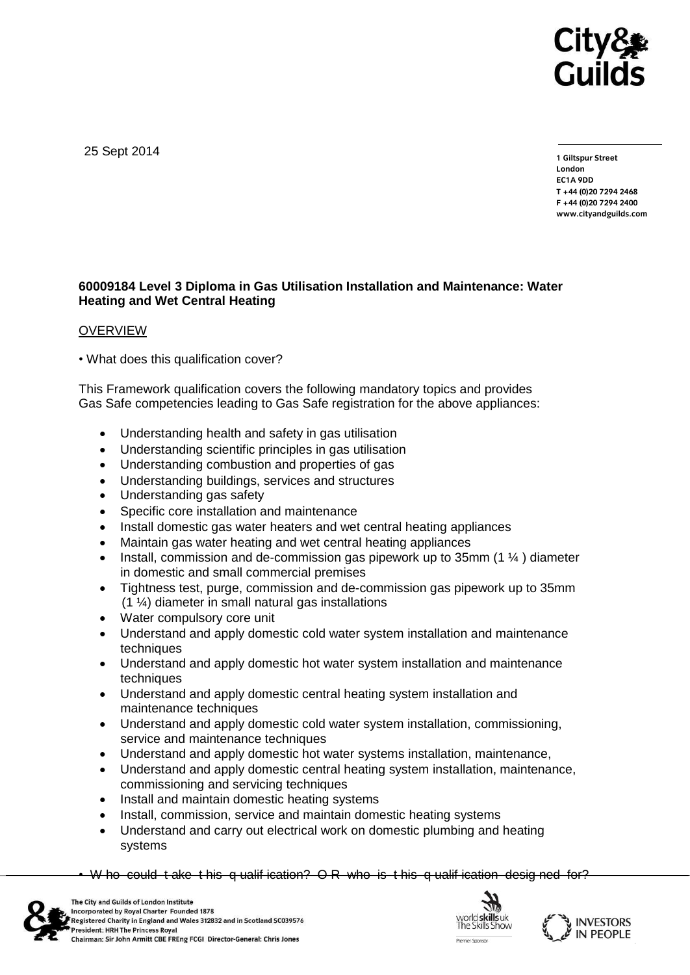

25 Sept 2014

**1 Giltspur Street EC1A 9DD** T +44 (0) 20 7 294 2468 **T +44 (0)20 7294 246[8](http://www.cityandguilds.com/) F +44 (0)20 7294 2400 [www.cityandguilds.com](http://www.cityandguilds.com/)**

## **60009184 Level 3 Diploma in Gas Utilisation Installation and Maintenance: Water Heating and Wet Central Heating**

#### **OVERVIEW**

• What does this qualification cover?

This Framework qualification covers the following mandatory topics and provides Gas Safe competencies leading to Gas Safe registration for the above appliances:

- Understanding health and safety in gas utilisation
- Understanding scientific principles in gas utilisation
- Understanding combustion and properties of gas
- Understanding buildings, services and structures
- Understanding gas safety
- Specific core installation and maintenance
- Install domestic gas water heaters and wet central heating appliances
- Maintain gas water heating and wet central heating appliances
- Install, commission and de-commission gas pipework up to 35mm (1 ¼ ) diameter in domestic and small commercial premises
- Tightness test, purge, commission and de-commission gas pipework up to 35mm  $(1 \frac{1}{4})$  diameter in small natural gas installations
- Water compulsory core unit
- Understand and apply domestic cold water system installation and maintenance techniques
- Understand and apply domestic hot water system installation and maintenance techniques
- Understand and apply domestic central heating system installation and maintenance techniques
- Understand and apply domestic cold water system installation, commissioning, service and maintenance techniques
- Understand and apply domestic hot water systems installation, maintenance,
- Understand and apply domestic central heating system installation, maintenance, commissioning and servicing techniques
- Install and maintain domestic heating systems
- Install, commission, service and maintain domestic heating systems
- Understand and carry out electrical work on domestic plumbing and heating systems

W ho could t ake t his q ualif ication? O R who is t his q ualif ication designed for?





**INVESTORS** 

**IN PEOPLE**